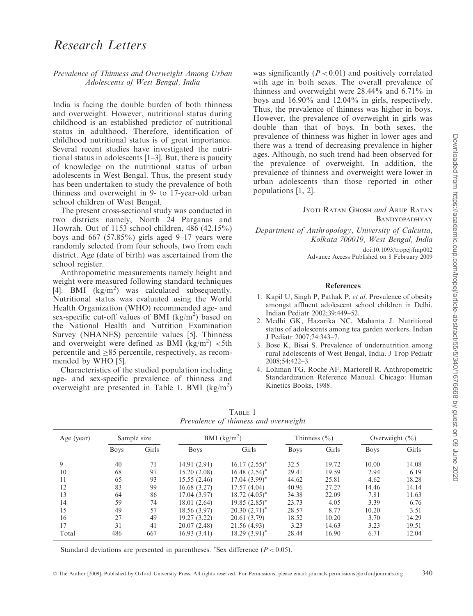# Research Letters

## Prevalence of Thinness and Overweight Among Urban Adolescents of West Bengal, India

India is facing the double burden of both thinness and overweight. However, nutritional status during childhood is an established predictor of nutritional status in adulthood. Therefore, identification of childhood nutritional status is of great importance. Several recent studies have investigated the nutritional status in adolescents [1–3]. But, there is paucity of knowledge on the nutritional status of urban adolescents in West Bengal. Thus, the present study has been undertaken to study the prevalence of both thinness and overweight in 9- to 17-year-old urban school children of West Bengal.

The present cross-sectional study was conducted in two districts namely, North 24 Parganas and Howrah. Out of 1153 school children, 486 (42.15%) boys and 667 (57.85%) girls aged 9–17 years were randomly selected from four schools, two from each district. Age (date of birth) was ascertained from the school register.

Anthropometric measurements namely height and weight were measured following standard techniques [4]. BMI  $(kg/m^2)$  was calculated subsequently. Nutritional status was evaluated using the World Health Organization (WHO) recommended age- and sex-specific cut-off values of BMI  $(kg/m<sup>2</sup>)$  based on the National Health and Nutrition Examination Survey (NHANES) percentile values [5]. Thinness and overweight were defined as BMI  $(kg/m^2)$  <5th percentile and  $\geq 85$  percentile, respectively, as recommended by WHO [5].

Characteristics of the studied population including age- and sex-specific prevalence of thinness and overweight are presented in Table 1. BMI (kg/m<sup>2</sup>) was significantly  $(P < 0.01)$  and positively correlated with age in both sexes. The overall prevalence of thinness and overweight were 28.44% and 6.71% in boys and 16.90% and 12.04% in girls, respectively. Thus, the prevalence of thinness was higher in boys. However, the prevalence of overweight in girls was double than that of boys. In both sexes, the prevalence of thinness was higher in lower ages and there was a trend of decreasing prevalence in higher ages. Although, no such trend had been observed for the prevalence of overweight. In addition, the prevalence of thinness and overweight were lower in urban adolescents than those reported in other populations [1, 2].

> JYOTI RATAN GHOSH and ARUP RATAN BANDYOPADHYAY

Department of Anthropology, University of Calcutta, Kolkata 700019, West Bengal, India doi:10.1093/tropej/fmp002

Advance Access Published on 8 February 2009

### References

- 1. Kapil U, Singh P, Pathak P, et al. Prevalence of obesity amongst affluent adolescent school children in Delhi. Indian Pediatr 2002;39:449–52.
- 2. Medhi GK, Hazarika NC, Mahanta J. Nutritional status of adolescents among tea garden workers. Indian J Pediatr 2007;74:343–7.
- 3. Bose K, Bisai S. Prevalence of undernutrition among rural adolescents of West Bengal, India. J Trop Pediatr 2008;54:422–3.
- 4. Lohman TG, Roche AF, Martorell R. Anthropometric Standardization Reference Manual. Chicago: Human Kinetics Books, 1988.

| Age (year) | Sample size |       | BMI $(kg/m2)$ |                    | Thinness $(\% )$ |       | Overweight $(\% )$ |       |
|------------|-------------|-------|---------------|--------------------|------------------|-------|--------------------|-------|
|            | <b>Boys</b> | Girls | <b>Boys</b>   | Girls              | <b>Boys</b>      | Girls | <b>Boys</b>        | Girls |
| 9          | 40          | 71    | 14.91 (2.91)  | $16.17 (2.55)^*$   | 32.5             | 19.72 | 10.00              | 14.08 |
| 10         | 68          | 97    | 15.20(2.08)   | $16.48~(2.54)^*$   | 29.41            | 19.59 | 2.94               | 6.19  |
| 11         | 65          | 93    | 15.55 (2.46)  | $17.04~(3.99)^{*}$ | 44.62            | 25.81 | 4.62               | 18.28 |
| 12         | 83          | 99    | 16.68(3.27)   | 17.57(4.04)        | 40.96            | 27.27 | 14.46              | 14.14 |
| 13         | 64          | 86    | 17.04 (3.97)  | $18.72 (4.05)^*$   | 34.38            | 22.09 | 7.81               | 11.63 |
| 14         | 59          | 74    | 18.01(2.64)   | $19.85(2.85)^*$    | 23.73            | 4.05  | 3.39               | 6.76  |
| 15         | 49          | 57    | 18.56 (3.97)  | $20.30(2.71)^*$    | 28.57            | 8.77  | 10.20              | 3.51  |
| 16         | 27          | 49    | 19.27 (3.22)  | 20.61 (3.79)       | 18.52            | 10.20 | 3.70               | 14.29 |
| 17         | 31          | 41    | 20.07(2.48)   | 21.56 (4.93)       | 3.23             | 14.63 | 3.23               | 19.51 |
| Total      | 486         | 667   | 16.93(3.41)   | $18.29(3.91)^{*}$  | 28.44            | 16.90 | 6.71               | 12.04 |

TABLE 1 Prevalence of thinness and overweight

Standard deviations are presented in parentheses. \*Sex difference  $(P < 0.05)$ .